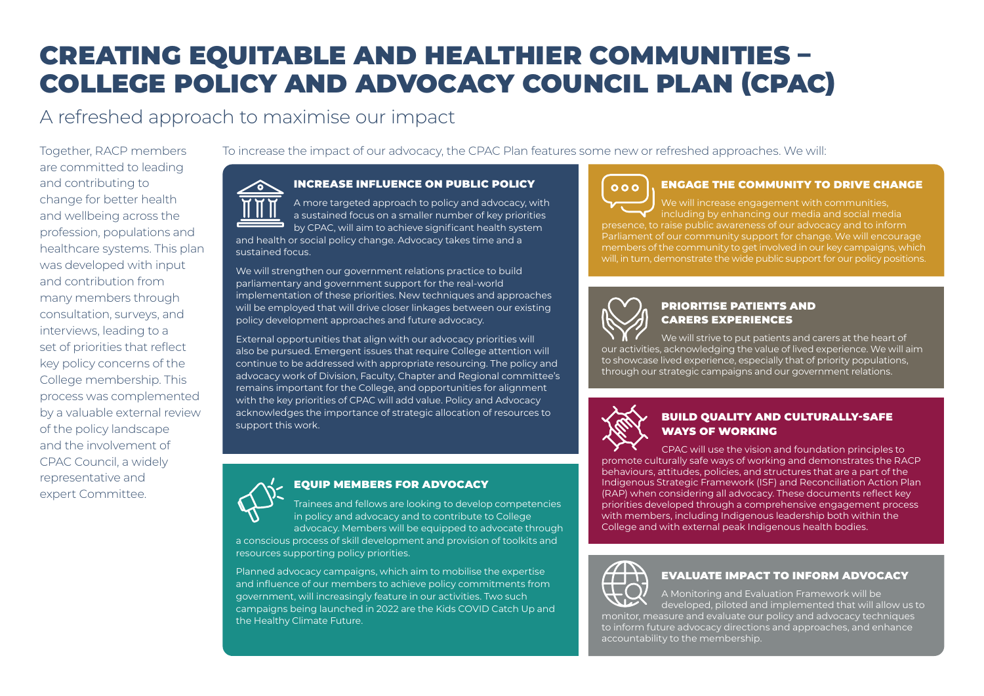# CREATING EQUITABLE AND HEALTHIER COMMUNITIES – COLLEGE POLICY AND ADVOCACY COUNCIL PLAN (CPAC)

## A refreshed approach to maximise our impact

Together, RACP members are committed to leading and contributing to change for better health and wellbeing across the profession, populations and healthcare systems. This plan was developed with input and contribution from many members through consultation, surveys, and interviews, leading to a set of priorities that reflect key policy concerns of the College membership. This process was complemented by a valuable external review of the policy landscape and the involvement of CPAC Council, a widely representative and expert Committee.

To increase the impact of our advocacy, the CPAC Plan features some new or refreshed approaches. We will:

#### INCREASE INFLUENCE ON PUBLIC POLICY

A more targeted approach to policy and advocacy, with a sustained focus on a smaller number of key priorities by CPAC, will aim to achieve significant health system and health or social policy change. Advocacy takes time and a sustained focus.

We will strengthen our government relations practice to build parliamentary and government support for the real-world implementation of these priorities. New techniques and approaches will be employed that will drive closer linkages between our existing policy development approaches and future advocacy.

External opportunities that align with our advocacy priorities will also be pursued. Emergent issues that require College attention will continue to be addressed with appropriate resourcing. The policy and advocacy work of Division, Faculty, Chapter and Regional committee's remains important for the College, and opportunities for alignment with the key priorities of CPAC will add value. Policy and Advocacy acknowledges the importance of strategic allocation of resources to support this work.

## EQUIP MEMBERS FOR ADVOCACY

Trainees and fellows are looking to develop competencies in policy and advocacy and to contribute to College advocacy. Members will be equipped to advocate through a conscious process of skill development and provision of toolkits and resources supporting policy priorities.

Planned advocacy campaigns, which aim to mobilise the expertise and influence of our members to achieve policy commitments from government, will increasingly feature in our activities. Two such campaigns being launched in 2022 are the Kids COVID Catch Up and the Healthy Climate Future.

#### ENGAGE THE COMMUNITY TO DRIVE CHANGE

We will increase engagement with communities, including by enhancing our media and social media presence, to raise public awareness of our advocacy and to inform Parliament of our community support for change. We will encourage members of the community to get involved in our key campaigns, which will, in turn, demonstrate the wide public support for our policy positions.

## PRIORITISE PATIENTS AND CARERS EXPERIENCES

We will strive to put patients and carers at the heart of our activities, acknowledging the value of lived experience. We will aim to showcase lived experience, especially that of priority populations,

through our strategic campaigns and our government relations.



 $000$ 

#### BUILD QUALITY AND CULTURALLY-SAFE WAYS OF WORKING

CPAC will use the vision and foundation principles to promote culturally safe ways of working and demonstrates the RACP behaviours, attitudes, policies, and structures that are a part of the Indigenous Strategic Framework (ISF) and Reconciliation Action Plan (RAP) when considering all advocacy. These documents reflect key priorities developed through a comprehensive engagement process with members, including Indigenous leadership both within the College and with external peak Indigenous health bodies.



#### EVALUATE IMPACT TO INFORM ADVOCACY

A Monitoring and Evaluation Framework will be developed, piloted and implemented that will allow us to monitor, measure and evaluate our policy and advocacy techniques to inform future advocacy directions and approaches, and enhance accountability to the membership.